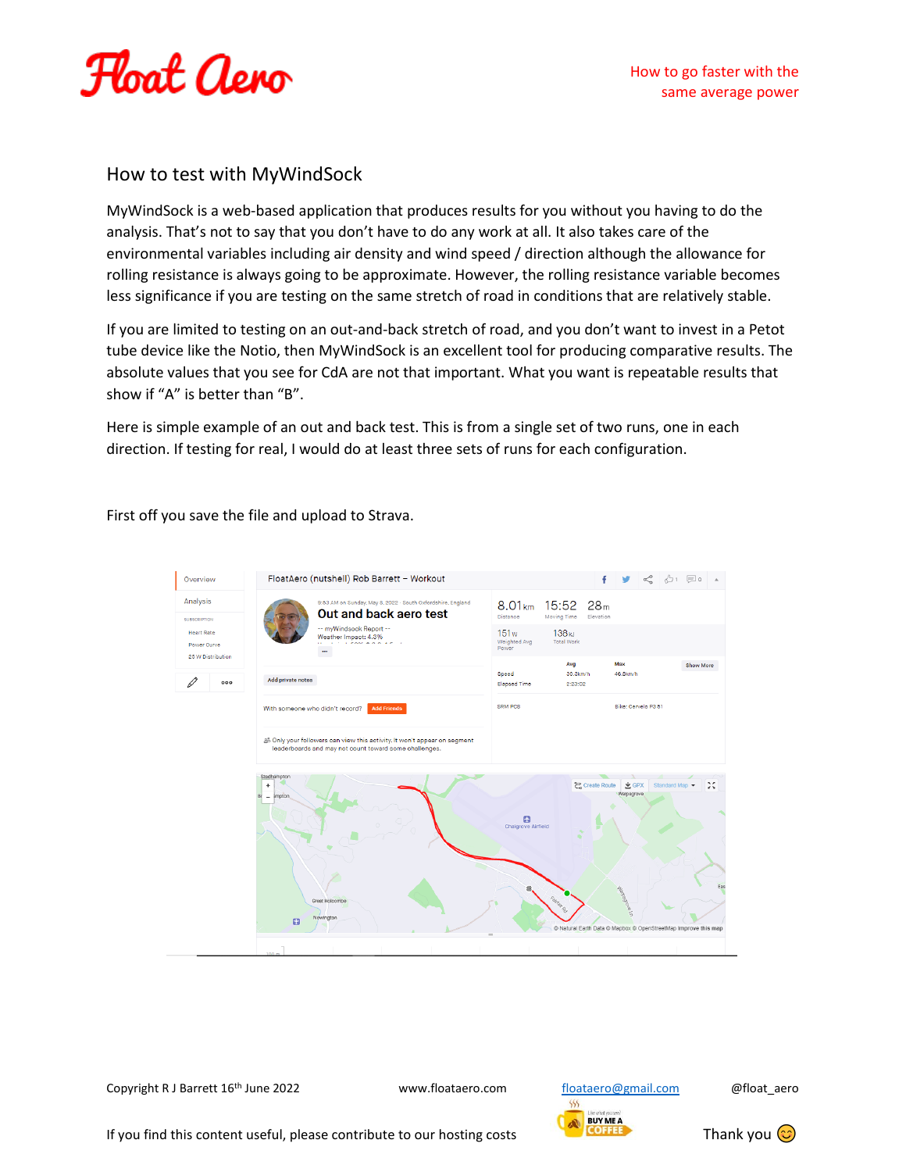

## How to test with MyWindSock

MyWindSock is a web-based application that produces results for you without you having to do the analysis. That's not to say that you don't have to do any work at all. It also takes care of the environmental variables including air density and wind speed / direction although the allowance for rolling resistance is always going to be approximate. However, the rolling resistance variable becomes less significance if you are testing on the same stretch of road in conditions that are relatively stable.

If you are limited to testing on an out-and-back stretch of road, and you don't want to invest in a Petot tube device like the Notio, then MyWindSock is an excellent tool for producing comparative results. The absolute values that you see for CdA are not that important. What you want is repeatable results that show if "A" is better than "B".

Here is simple example of an out and back test. This is from a single set of two runs, one in each direction. If testing for real, I would do at least three sets of runs for each configuration.

First off you save the file and upload to Strava.



Copyright R J Barrett 16<sup>th</sup> June 2022 www.floataero.com [floataero@gmail.com](mailto:floataero@gmail.com) @float\_aero